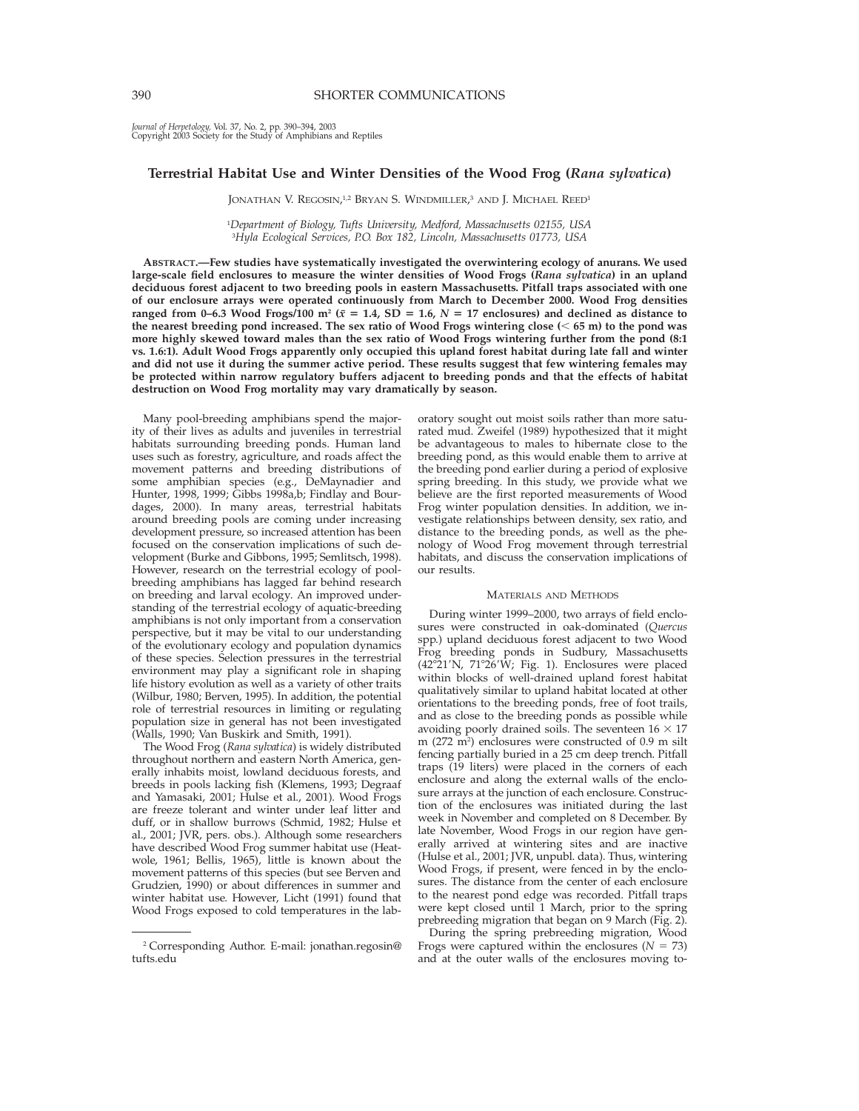*Journal of Herpetology,* Vol. 37, No. 2, pp. 390–394, 2003 Copyright 2003 Society for the Study of Amphibians and Reptiles

# **Terrestrial Habitat Use and Winter Densities of the Wood Frog (***Rana sylvatica***)**

JONATHAN V. REGOSIN,<sup>1,2</sup> Bryan S. Windmiller,<sup>3</sup> and J. Michael Reed<sup>1</sup>

1 *Department of Biology, Tufts University, Medford, Massachusetts 02155, USA* 3 *Hyla Ecological Services, P.O. Box 182, Lincoln, Massachusetts 01773, USA*

**ABSTRACT.—Few studies have systematically investigated the overwintering ecology of anurans. We used large-scale field enclosures to measure the winter densities of Wood Frogs (***Rana sylvatica***) in an upland deciduous forest adjacent to two breeding pools in eastern Massachusetts. Pitfall traps associated with one of our enclosure arrays were operated continuously from March to December 2000. Wood Frog densities ranged from 0–6.3 Wood Frogs/100 m<sup>2</sup> (** $\bar{x} = 1.4$ **, SD = 1.6,**  $N = 17$  **enclosures) and declined as distance to the nearest breeding pond increased. The sex ratio of Wood Frogs wintering close (**, **65 m) to the pond was more highly skewed toward males than the sex ratio of Wood Frogs wintering further from the pond (8:1 vs. 1.6:1). Adult Wood Frogs apparently only occupied this upland forest habitat during late fall and winter and did not use it during the summer active period. These results suggest that few wintering females may be protected within narrow regulatory buffers adjacent to breeding ponds and that the effects of habitat destruction on Wood Frog mortality may vary dramatically by season.**

Many pool-breeding amphibians spend the majority of their lives as adults and juveniles in terrestrial habitats surrounding breeding ponds. Human land uses such as forestry, agriculture, and roads affect the movement patterns and breeding distributions of some amphibian species (e.g., DeMaynadier and Hunter, 1998, 1999; Gibbs 1998a,b; Findlay and Bourdages, 2000). In many areas, terrestrial habitats around breeding pools are coming under increasing development pressure, so increased attention has been focused on the conservation implications of such development (Burke and Gibbons, 1995; Semlitsch, 1998). However, research on the terrestrial ecology of poolbreeding amphibians has lagged far behind research on breeding and larval ecology. An improved understanding of the terrestrial ecology of aquatic-breeding amphibians is not only important from a conservation perspective, but it may be vital to our understanding of the evolutionary ecology and population dynamics of these species. Selection pressures in the terrestrial environment may play a significant role in shaping life history evolution as well as a variety of other traits (Wilbur, 1980; Berven, 1995). In addition, the potential role of terrestrial resources in limiting or regulating population size in general has not been investigated (Walls, 1990; Van Buskirk and Smith, 1991).

The Wood Frog (*Rana sylvatica*) is widely distributed throughout northern and eastern North America, generally inhabits moist, lowland deciduous forests, and breeds in pools lacking fish (Klemens, 1993; Degraaf and Yamasaki, 2001; Hulse et al., 2001). Wood Frogs are freeze tolerant and winter under leaf litter and duff, or in shallow burrows (Schmid, 1982; Hulse et al., 2001; JVR, pers. obs.). Although some researchers have described Wood Frog summer habitat use (Heatwole, 1961; Bellis, 1965), little is known about the movement patterns of this species (but see Berven and Grudzien, 1990) or about differences in summer and winter habitat use. However, Licht (1991) found that Wood Frogs exposed to cold temperatures in the laboratory sought out moist soils rather than more saturated mud. Zweifel (1989) hypothesized that it might be advantageous to males to hibernate close to the breeding pond, as this would enable them to arrive at the breeding pond earlier during a period of explosive spring breeding. In this study, we provide what we believe are the first reported measurements of Wood Frog winter population densities. In addition, we investigate relationships between density, sex ratio, and distance to the breeding ponds, as well as the phenology of Wood Frog movement through terrestrial habitats, and discuss the conservation implications of our results.

## MATERIALS AND METHODS

During winter 1999–2000, two arrays of field enclosures were constructed in oak-dominated (*Quercus* spp.) upland deciduous forest adjacent to two Wood Frog breeding ponds in Sudbury, Massachusetts (42°21′N, 71°26′ $\hat{W}$ ; Fig. 1). Enclosures were placed within blocks of well-drained upland forest habitat qualitatively similar to upland habitat located at other orientations to the breeding ponds, free of foot trails, and as close to the breeding ponds as possible while avoiding poorly drained soils. The seventeen  $16 \times 17$ m (272 m2 ) enclosures were constructed of 0.9 m silt fencing partially buried in a 25 cm deep trench. Pitfall traps (19 liters) were placed in the corners of each enclosure and along the external walls of the enclosure arrays at the junction of each enclosure. Construction of the enclosures was initiated during the last week in November and completed on 8 December. By late November, Wood Frogs in our region have generally arrived at wintering sites and are inactive (Hulse et al., 2001; JVR, unpubl. data). Thus, wintering Wood Frogs, if present, were fenced in by the enclosures. The distance from the center of each enclosure to the nearest pond edge was recorded. Pitfall traps were kept closed until 1 March, prior to the spring prebreeding migration that began on 9 March (Fig. 2).

During the spring prebreeding migration, Wood Frogs were captured within the enclosures  $(N = 73)$ and at the outer walls of the enclosures moving to-

<sup>2</sup> Corresponding Author. E-mail: jonathan.regosin@ tufts.edu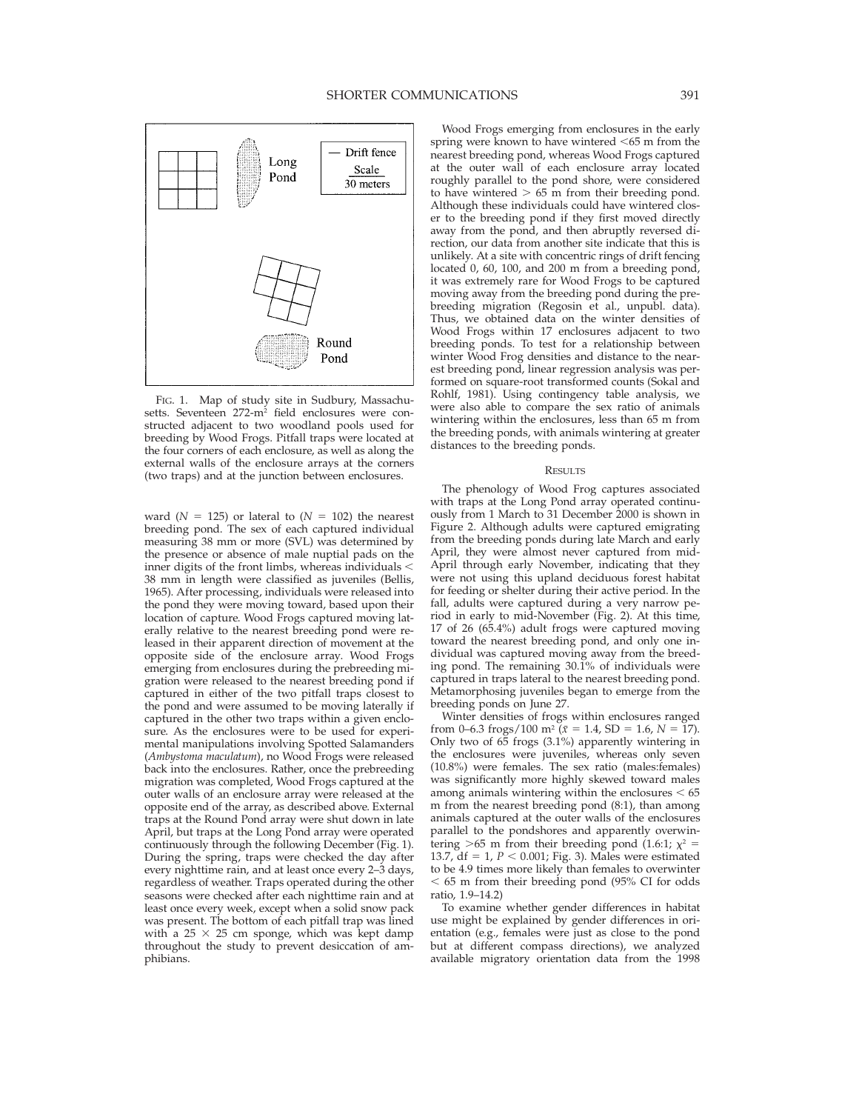

FIG. 1. Map of study site in Sudbury, Massachusetts. Seventeen 272-m<sup>2</sup> field enclosures were constructed adjacent to two woodland pools used for breeding by Wood Frogs. Pitfall traps were located at the four corners of each enclosure, as well as along the external walls of the enclosure arrays at the corners (two traps) and at the junction between enclosures.

ward ( $N = 125$ ) or lateral to ( $N = 102$ ) the nearest breeding pond. The sex of each captured individual measuring 38 mm or more (SVL) was determined by the presence or absence of male nuptial pads on the inner digits of the front limbs, whereas individuals  $<$ 38 mm in length were classified as juveniles (Bellis, 1965). After processing, individuals were released into the pond they were moving toward, based upon their location of capture. Wood Frogs captured moving laterally relative to the nearest breeding pond were released in their apparent direction of movement at the opposite side of the enclosure array. Wood Frogs emerging from enclosures during the prebreeding migration were released to the nearest breeding pond if captured in either of the two pitfall traps closest to the pond and were assumed to be moving laterally if captured in the other two traps within a given enclosure. As the enclosures were to be used for experimental manipulations involving Spotted Salamanders (*Ambystoma maculatum*), no Wood Frogs were released back into the enclosures. Rather, once the prebreeding migration was completed, Wood Frogs captured at the outer walls of an enclosure array were released at the opposite end of the array, as described above. External traps at the Round Pond array were shut down in late April, but traps at the Long Pond array were operated continuously through the following December (Fig. 1). During the spring, traps were checked the day after every nighttime rain, and at least once every 2–3 days, regardless of weather. Traps operated during the other seasons were checked after each nighttime rain and at least once every week, except when a solid snow pack was present. The bottom of each pitfall trap was lined with a 25  $\times$  25 cm sponge, which was kept damp throughout the study to prevent desiccation of amphibians.

Wood Frogs emerging from enclosures in the early spring were known to have wintered  $<65$  m from the nearest breeding pond, whereas Wood Frogs captured at the outer wall of each enclosure array located roughly parallel to the pond shore, were considered to have wintered  $> 65$  m from their breeding pond. Although these individuals could have wintered closer to the breeding pond if they first moved directly away from the pond, and then abruptly reversed direction, our data from another site indicate that this is unlikely. At a site with concentric rings of drift fencing located 0, 60, 100, and 200 m from a breeding pond, it was extremely rare for Wood Frogs to be captured moving away from the breeding pond during the prebreeding migration (Regosin et al., unpubl. data). Thus, we obtained data on the winter densities of Wood Frogs within 17 enclosures adjacent to two breeding ponds. To test for a relationship between winter Wood Frog densities and distance to the nearest breeding pond, linear regression analysis was performed on square-root transformed counts (Sokal and Rohlf, 1981). Using contingency table analysis, we were also able to compare the sex ratio of animals wintering within the enclosures, less than 65 m from the breeding ponds, with animals wintering at greater distances to the breeding ponds.

# RESULTS

The phenology of Wood Frog captures associated with traps at the Long Pond array operated continuously from 1 March to 31 December 2000 is shown in Figure 2. Although adults were captured emigrating from the breeding ponds during late March and early April, they were almost never captured from mid-April through early November, indicating that they were not using this upland deciduous forest habitat for feeding or shelter during their active period. In the fall, adults were captured during a very narrow period in early to mid-November (Fig. 2). At this time, 17 of 26 (65.4%) adult frogs were captured moving toward the nearest breeding pond, and only one individual was captured moving away from the breeding pond. The remaining  $30.\overline{1}\%$  of individuals were captured in traps lateral to the nearest breeding pond. Metamorphosing juveniles began to emerge from the breeding ponds on June 27.

Winter densities of frogs within enclosures ranged from 0–6.3 frogs/100 m<sup>2</sup> ( $\bar{x}$  = 1.4, SD = 1.6, *N* = 17). Only two of 65 frogs (3.1%) apparently wintering in the enclosures were juveniles, whereas only seven (10.8%) were females. The sex ratio (males:females) was significantly more highly skewed toward males among animals wintering within the enclosures  $< 65$ m from the nearest breeding pond (8:1), than among animals captured at the outer walls of the enclosures parallel to the pondshores and apparently overwintering  $>65$  m from their breeding pond (1.6:1;  $\chi^2$  = 13.7,  $df = 1$ ,  $P < 0.001$ ; Fig. 3). Males were estimated to be 4.9 times more likely than females to overwinter  $<$  65 m from their breeding pond (95% CI for odds ratio, 1.9–14.2)

To examine whether gender differences in habitat use might be explained by gender differences in orientation (e.g., females were just as close to the pond but at different compass directions), we analyzed available migratory orientation data from the 1998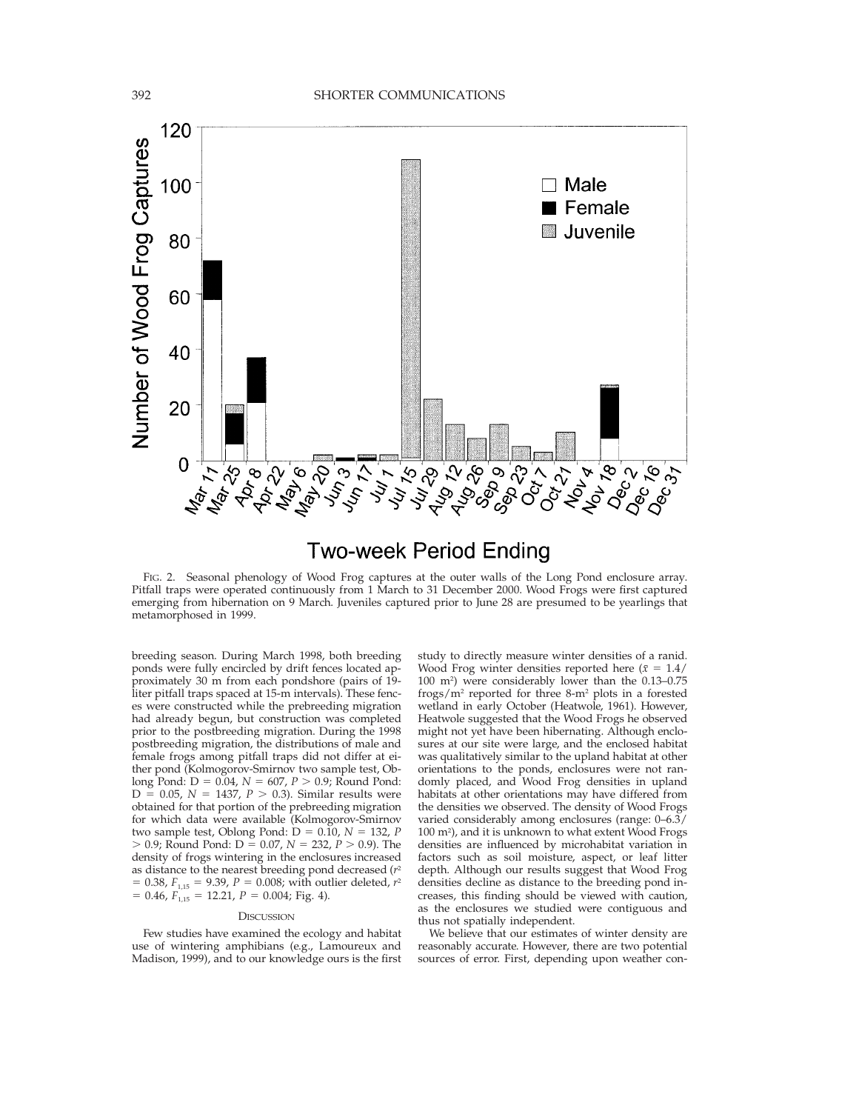

# **Two-week Period Ending**

FIG. 2. Seasonal phenology of Wood Frog captures at the outer walls of the Long Pond enclosure array. Pitfall traps were operated continuously from 1 March to 31 December 2000. Wood Frogs were first captured emerging from hibernation on 9 March. Juveniles captured prior to June 28 are presumed to be yearlings that metamorphosed in 1999.

breeding season. During March 1998, both breeding ponds were fully encircled by drift fences located approximately 30 m from each pondshore (pairs of 19 liter pitfall traps spaced at 15-m intervals). These fences were constructed while the prebreeding migration had already begun, but construction was completed prior to the postbreeding migration. During the 1998 postbreeding migration, the distributions of male and female frogs among pitfall traps did not differ at either pond (Kolmogorov-Smirnov two sample test, Oblong Pond:  $D = 0.04$ ,  $N = 607$ ,  $P > 0.9$ ; Round Pond:  $D = 0.05$ ,  $N = 1437$ ,  $P > 0.3$ ). Similar results were obtained for that portion of the prebreeding migration for which data were available (Kolmogorov-Smirnov two sample test, Oblong Pond:  $D = 0.\overline{10}$ ,  $N = 132$ , *P*  $> 0.9$ ; Round Pond: D = 0.07,  $N = 232$ ,  $P > 0.9$ ). The density of frogs wintering in the enclosures increased as distance to the nearest breeding pond decreased (*r*<sup>2</sup>  $= 0.38$ ,  $F_{1,15} = 9.39$ ,  $P = 0.008$ ; with outlier deleted,  $r^2$  $= 0.46, F<sub>1,15</sub> = 12.21, P = 0.004; Fig. 4.$ 

## **DISCUSSION**

Few studies have examined the ecology and habitat use of wintering amphibians (e.g., Lamoureux and Madison, 1999), and to our knowledge ours is the first study to directly measure winter densities of a ranid. Wood Frog winter densities reported here  $(\bar{x} = 1.4)$ 100 m2 ) were considerably lower than the 0.13–0.75 frogs/m2 reported for three 8-m2 plots in a forested wetland in early October (Heatwole, 1961). However, Heatwole suggested that the Wood Frogs he observed might not yet have been hibernating. Although enclosures at our site were large, and the enclosed habitat was qualitatively similar to the upland habitat at other orientations to the ponds, enclosures were not randomly placed, and Wood Frog densities in upland habitats at other orientations may have differed from the densities we observed. The density of Wood Frogs varied considerably among enclosures (range: 0–6.3/ 100 m2 ), and it is unknown to what extent Wood Frogs densities are influenced by microhabitat variation in factors such as soil moisture, aspect, or leaf litter depth. Although our results suggest that Wood Frog densities decline as distance to the breeding pond increases, this finding should be viewed with caution, as the enclosures we studied were contiguous and thus not spatially independent.

We believe that our estimates of winter density are reasonably accurate. However, there are two potential sources of error. First, depending upon weather con-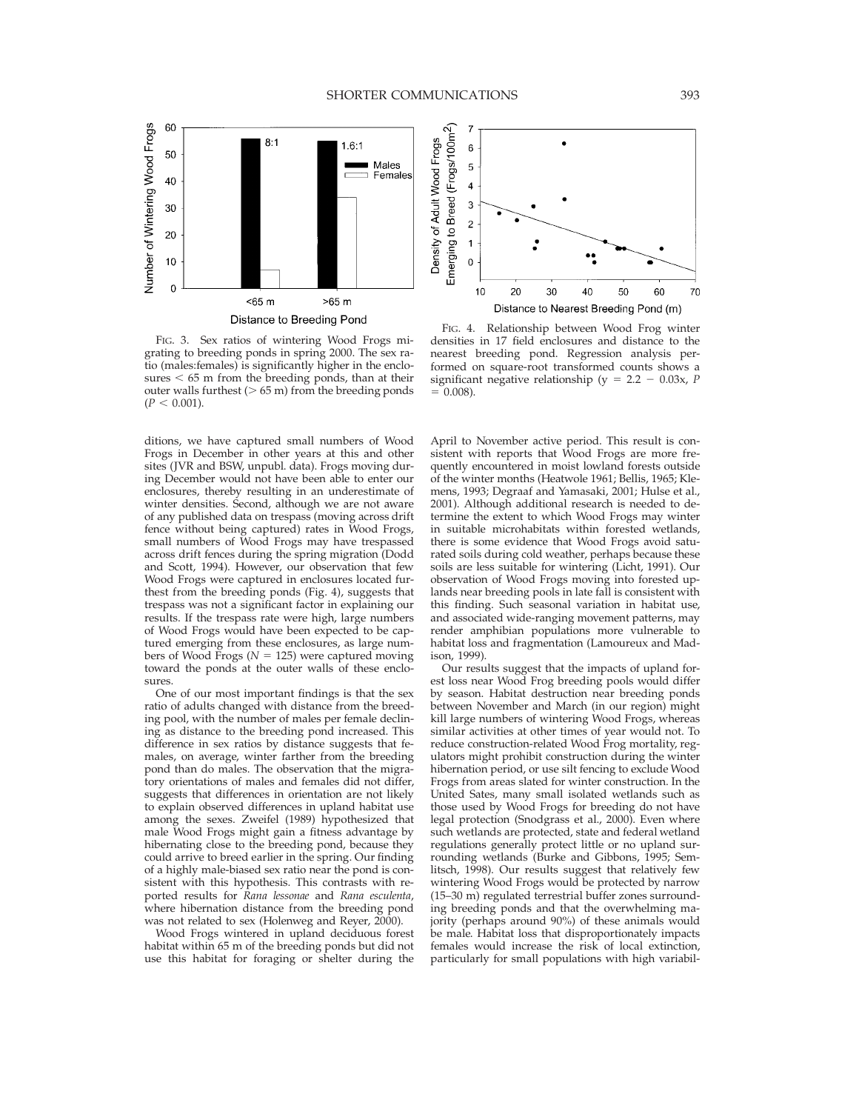

FIG. 3. Sex ratios of wintering Wood Frogs migrating to breeding ponds in spring 2000. The sex ratio (males:females) is significantly higher in the enclosures  $<$  65 m from the breeding ponds, than at their outer walls furthest ( $> 65$  m) from the breeding ponds  $(P < 0.001)$ .

ditions, we have captured small numbers of Wood Frogs in December in other years at this and other sites (JVR and BSW, unpubl. data). Frogs moving during December would not have been able to enter our enclosures, thereby resulting in an underestimate of winter densities. Second, although we are not aware of any published data on trespass (moving across drift fence without being captured) rates in Wood Frogs, small numbers of Wood Frogs may have trespassed across drift fences during the spring migration (Dodd and Scott, 1994). However, our observation that few Wood Frogs were captured in enclosures located furthest from the breeding ponds (Fig. 4), suggests that trespass was not a significant factor in explaining our results. If the trespass rate were high, large numbers of Wood Frogs would have been expected to be captured emerging from these enclosures, as large numbers of Wood Frogs ( $N = 125$ ) were captured moving toward the ponds at the outer walls of these enclosures

One of our most important findings is that the sex ratio of adults changed with distance from the breeding pool, with the number of males per female declining as distance to the breeding pond increased. This difference in sex ratios by distance suggests that females, on average, winter farther from the breeding pond than do males. The observation that the migratory orientations of males and females did not differ, suggests that differences in orientation are not likely to explain observed differences in upland habitat use among the sexes. Zweifel (1989) hypothesized that male Wood Frogs might gain a fitness advantage by hibernating close to the breeding pond, because they could arrive to breed earlier in the spring. Our finding of a highly male-biased sex ratio near the pond is consistent with this hypothesis. This contrasts with reported results for *Rana lessonae* and *Rana esculenta*, where hibernation distance from the breeding pond was not related to sex (Holenweg and Reyer, 2000).

Wood Frogs wintered in upland deciduous forest habitat within 65 m of the breeding ponds but did not use this habitat for foraging or shelter during the



FIG. 4. Relationship between Wood Frog winter densities in 17 field enclosures and distance to the nearest breeding pond. Regression analysis performed on square-root transformed counts shows a significant negative relationship ( $y = 2.2 - 0.03x$ , *P*  $= 0.008$ ).

April to November active period. This result is consistent with reports that Wood Frogs are more frequently encountered in moist lowland forests outside of the winter months (Heatwole 1961; Bellis, 1965; Klemens, 1993; Degraaf and Yamasaki, 2001; Hulse et al., 2001). Although additional research is needed to determine the extent to which Wood Frogs may winter in suitable microhabitats within forested wetlands, there is some evidence that Wood Frogs avoid saturated soils during cold weather, perhaps because these soils are less suitable for wintering (Licht, 1991). Our observation of Wood Frogs moving into forested uplands near breeding pools in late fall is consistent with this finding. Such seasonal variation in habitat use, and associated wide-ranging movement patterns, may render amphibian populations more vulnerable to habitat loss and fragmentation (Lamoureux and Madison, 1999).

Our results suggest that the impacts of upland forest loss near Wood Frog breeding pools would differ by season. Habitat destruction near breeding ponds between November and March (in our region) might kill large numbers of wintering Wood Frogs, whereas similar activities at other times of year would not. To reduce construction-related Wood Frog mortality, regulators might prohibit construction during the winter hibernation period, or use silt fencing to exclude Wood Frogs from areas slated for winter construction. In the United Sates, many small isolated wetlands such as those used by Wood Frogs for breeding do not have legal protection (Snodgrass et al., 2000). Even where such wetlands are protected, state and federal wetland regulations generally protect little or no upland surrounding wetlands (Burke and Gibbons, 1995; Semlitsch, 1998). Our results suggest that relatively few wintering Wood Frogs would be protected by narrow (15–30 m) regulated terrestrial buffer zones surrounding breeding ponds and that the overwhelming majority (perhaps around 90%) of these animals would be male. Habitat loss that disproportionately impacts females would increase the risk of local extinction, particularly for small populations with high variabil